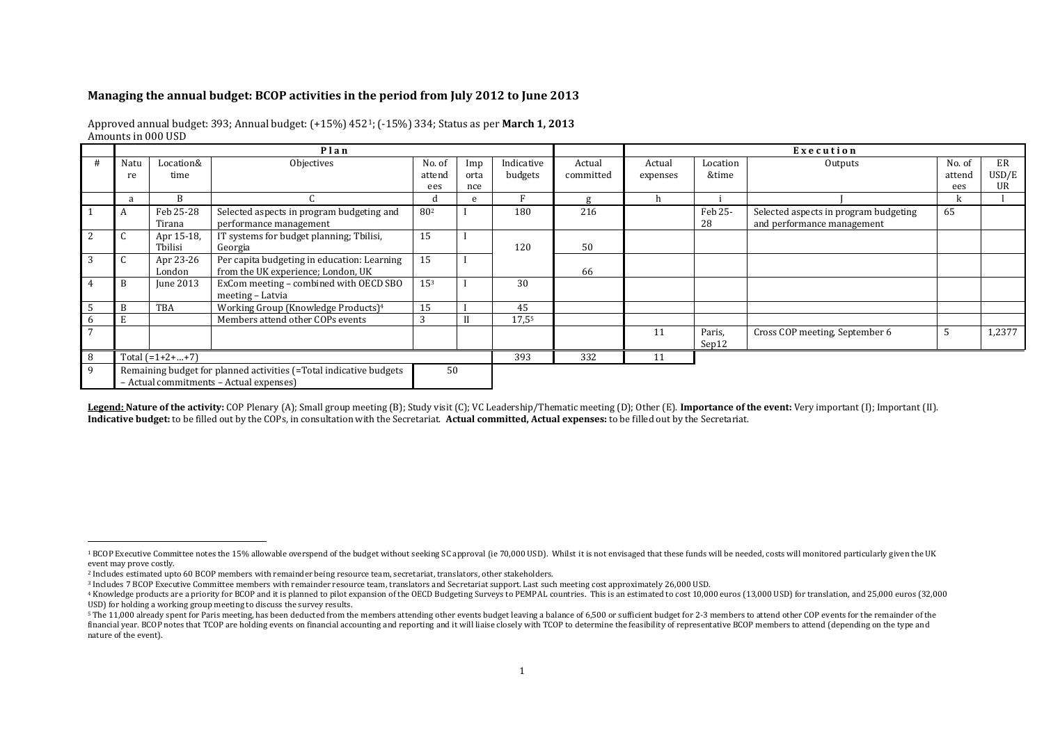## **Managing the annual budget: BCOP activities in the period from July 2012 to June 2013**

## Approved annual budget: 393; Annual budget: (+15%) 4521; (-15%) 334; Status as per **March 1, 2013** Amounts in 000 USD

|    | Plan                                                                                                          |                       |                                                                                   |                  |             |                       |                     | Execution          |                   |                                                                     |                  |             |
|----|---------------------------------------------------------------------------------------------------------------|-----------------------|-----------------------------------------------------------------------------------|------------------|-------------|-----------------------|---------------------|--------------------|-------------------|---------------------------------------------------------------------|------------------|-------------|
|    | Natu<br>re                                                                                                    | Location&<br>time     | Objectives                                                                        | No. of<br>attend | Imp<br>orta | Indicative<br>budgets | Actual<br>committed | Actual<br>expenses | Location<br>&time | Outputs                                                             | No. of<br>attend | ER<br>USD/E |
|    |                                                                                                               |                       |                                                                                   | ees              | nce         |                       |                     |                    |                   |                                                                     | ees              | UR          |
|    | a                                                                                                             | B                     |                                                                                   |                  | e           |                       | g                   | h                  |                   |                                                                     | ĸ                |             |
|    |                                                                                                               | Feb 25-28<br>Tirana   | Selected aspects in program budgeting and<br>performance management               | 80 <sup>2</sup>  |             | 180                   | 216                 |                    | Feb 25-<br>28     | Selected aspects in program budgeting<br>and performance management | 65               |             |
| 2  | ι.                                                                                                            | Apr 15-18,<br>Tbilisi | IT systems for budget planning; Tbilisi,<br>Georgia                               | 15               |             | 120                   | 50                  |                    |                   |                                                                     |                  |             |
| 3  |                                                                                                               | Apr 23-26<br>London   | Per capita budgeting in education: Learning<br>from the UK experience; London, UK | 15               |             |                       | 66                  |                    |                   |                                                                     |                  |             |
| 4  | B                                                                                                             | <b>June 2013</b>      | ExCom meeting - combined with OECD SBO<br>meeting – Latvia                        | 15 <sup>3</sup>  |             | 30                    |                     |                    |                   |                                                                     |                  |             |
| -5 | B                                                                                                             | TBA                   | Working Group (Knowledge Products) <sup>4</sup>                                   | 15               |             | 45                    |                     |                    |                   |                                                                     |                  |             |
| 6  |                                                                                                               |                       | Members attend other COPs events                                                  |                  |             | 17,55                 |                     |                    |                   |                                                                     |                  |             |
| 7  |                                                                                                               |                       |                                                                                   |                  |             |                       |                     | 11                 | Paris,<br>Sep12   | Cross COP meeting, September 6                                      |                  | 1,2377      |
| 8  | Total $(=1+2++7)$                                                                                             |                       |                                                                                   |                  |             | 393                   | 332                 | 11                 |                   |                                                                     |                  |             |
| 9  | Remaining budget for planned activities (=Total indicative budgets<br>- Actual commitments - Actual expenses) |                       |                                                                                   |                  | 50          |                       |                     |                    |                   |                                                                     |                  |             |

Legend: Nature of the activity: COP Plenary (A); Small group meeting (B); Study visit (C); VC Leadership/Thematic meeting (D); Other (E). Importance of the event: Very important (I); Important (II). **Indicative budget:** to be filled out by the COPs, in consultation with the Secretariat. **Actual committed, Actual expenses:** to be filled out by the Secretariat.

 $\overline{a}$ 

<sup>&</sup>lt;sup>1</sup> BCOP Executive Committee notes the 15% allowable overspend of the budget without seeking SC approval (ie 70,000 USD). Whilst it is not envisaged that these funds will be needed, costs will monitored particularly given event may prove costly.

<sup>2</sup> Includes estimated upto 60 BCOP members with remainder being resource team, secretariat, translators, other stakeholders.

<sup>3</sup> Includes 7 BCOP Executive Committee members with remainder resource team, translators and Secretariat support. Last such meeting cost approximately 26,000 USD.

<sup>&</sup>lt;sup>4</sup> Knowledge products are a priority for BCOP and it is planned to pilot expansion of the OECD Budgeting Surveys to PEMPAL countries. This is an estimated to cost 10,000 euros (13,000 USD) for translation, and 25,000 euro USD) for holding a working group meeting to discuss the survey results.

<sup>&</sup>lt;sup>5</sup> The 11,000 already spent for Paris meeting, has been deducted from the members attending other events budget leaving a balance of 6,500 or sufficient budget for 2-3 members to attend other COP events for the remainder financial year. BCOP notes that TCOP are holding events on financial accounting and reporting and it will liaise closely with TCOP to determine the feasibility of representative BCOP members to attend (depending on the typ nature of the event).